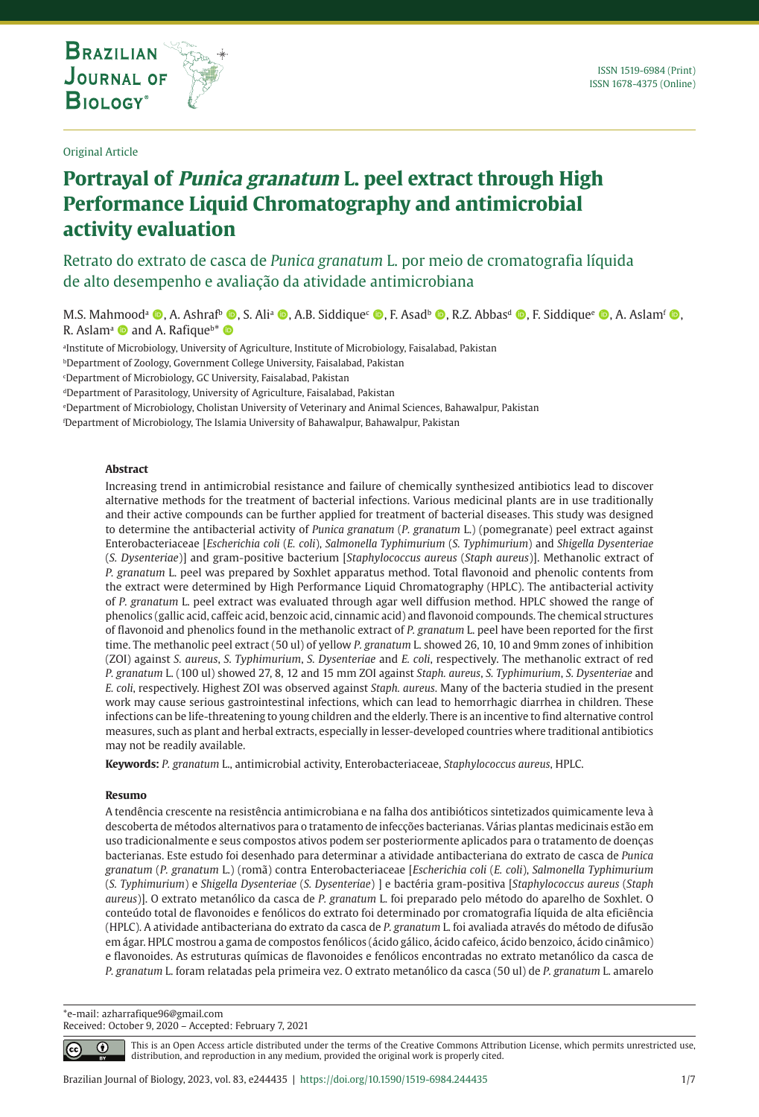**THE INTERNATIONAL JOURNAL ON GLOBAL BIODIVERSITY AND ENVIRONMENT**

Original Article

# **Portrayal of Punica granatum L. peel extract through High Performance Liquid Chromatography and antimicrobial activity evaluation**

Retrato do extrato de casca de *Punica granatum* L. por meio de cromatografia líquida de alto desempenho e avaliação da atividade antimicrobiana

M.S. Mahmood<sup>a</sup> (**b**, A. Ashraf<sup>b</sup> (**b**, S. Ali<sup>a</sup> (**b**, A.B. Siddique<sup>c</sup> (**b**, F. Asadb (**b**, R.Z. Abbas<sup>d</sup> (**b**, F. Siddique<sup>c</sup> (**b**, A. Aslamf (**b**, R. Aslam<sup>a</sup> and A. Rafique<sup>b\*</sup>

a Institute of Microbiology, University of Agriculture, Institute of Microbiology, Faisalabad, Pakistan

**bDepartment of Zoology, Government College University, Faisalabad, Pakistan** 

c Department of Microbiology, GC University, Faisalabad, Pakistan

dDepartment of Parasitology, University of Agriculture, Faisalabad, Pakistan

e Department of Microbiology, Cholistan University of Veterinary and Animal Sciences, Bahawalpur, Pakistan

f Department of Microbiology, The Islamia University of Bahawalpur, Bahawalpur, Pakistan

#### **Abstract**

Increasing trend in antimicrobial resistance and failure of chemically synthesized antibiotics lead to discover alternative methods for the treatment of bacterial infections. Various medicinal plants are in use traditionally and their active compounds can be further applied for treatment of bacterial diseases. This study was designed to determine the antibacterial activity of *Punica granatum* (*P. granatum* L.) (pomegranate) peel extract against Enterobacteriaceae [*Escherichia coli* (*E. coli*), *Salmonella Typhimurium* (*S. Typhimurium*) and *Shigella Dysenteriae* (*S. Dysenteriae*)] and gram-positive bacterium [*Staphylococcus aureus* (*Staph aureus*)]. Methanolic extract of *P. granatum* L. peel was prepared by Soxhlet apparatus method. Total flavonoid and phenolic contents from the extract were determined by High Performance Liquid Chromatography (HPLC). The antibacterial activity of *P. granatum* L. peel extract was evaluated through agar well diffusion method. HPLC showed the range of phenolics (gallic acid, caffeic acid, benzoic acid, cinnamic acid) and flavonoid compounds. The chemical structures of flavonoid and phenolics found in the methanolic extract of *P. granatum* L. peel have been reported for the first time. The methanolic peel extract (50 ul) of yellow *P. granatum* L. showed 26, 10, 10 and 9mm zones of inhibition (ZOI) against *S. aureus*, *S. Typhimurium*, *S. Dysenteriae* and *E. coli*, respectively. The methanolic extract of red *P. granatum* L. (100 ul) showed 27, 8, 12 and 15 mm ZOI against *Staph. aureus*, *S. Typhimurium*, *S. Dysenteriae* and *E. coli*, respectively. Highest ZOI was observed against *Staph. aureus*. Many of the bacteria studied in the present work may cause serious gastrointestinal infections, which can lead to hemorrhagic diarrhea in children. These infections can be life-threatening to young children and the elderly. There is an incentive to find alternative control measures, such as plant and herbal extracts, especially in lesser-developed countries where traditional antibiotics may not be readily available.

**Keywords:** *P. granatum* L., antimicrobial activity, Enterobacteriaceae, *Staphylococcus aureus*, HPLC.

#### **Resumo**

A tendência crescente na resistência antimicrobiana e na falha dos antibióticos sintetizados quimicamente leva à descoberta de métodos alternativos para o tratamento de infecções bacterianas. Várias plantas medicinais estão em uso tradicionalmente e seus compostos ativos podem ser posteriormente aplicados para o tratamento de doenças bacterianas. Este estudo foi desenhado para determinar a atividade antibacteriana do extrato de casca de *Punica granatum* (*P. granatum* L.) (romã) contra Enterobacteriaceae [*Escherichia coli* (*E. coli*), *Salmonella Typhimurium* (*S. Typhimurium*) e *Shigella Dysenteriae* (*S. Dysenteriae*) ] e bactéria gram-positiva [*Staphylococcus aureus* (*Staph aureus*)]. O extrato metanólico da casca de *P. granatum* L. foi preparado pelo método do aparelho de Soxhlet. O conteúdo total de flavonoides e fenólicos do extrato foi determinado por cromatografia líquida de alta eficiência (HPLC). A atividade antibacteriana do extrato da casca de *P. granatum* L. foi avaliada através do método de difusão em ágar. HPLC mostrou a gama de compostos fenólicos (ácido gálico, ácido cafeico, ácido benzoico, ácido cinâmico) e flavonoides. As estruturas químicas de flavonoides e fenólicos encontradas no extrato metanólico da casca de *P. granatum* L. foram relatadas pela primeira vez. O extrato metanólico da casca (50 ul) de *P. granatum* L. amarelo

\*e-mail: azharrafique96@gmail.com Received: October 9, 2020 – Accepted: February 7, 2021

⋒

This is an Open Access article distributed under the terms of the Creative Commons Attribution License, which permits unrestricted use, distribution, and reproduction in any medium, provided the original work is properly cited.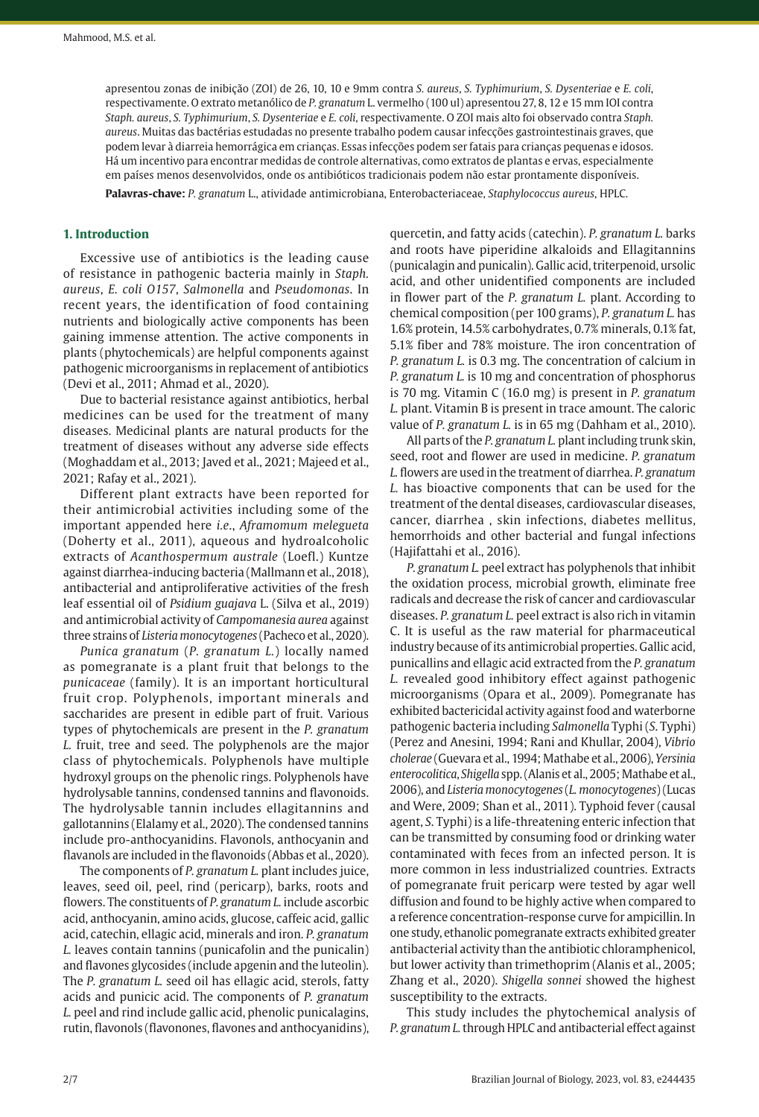apresentou zonas de inibição (ZOI) de 26, 10, 10 e 9mm contra *S. aureus*, *S. Typhimurium*, *S. Dysenteriae* e *E. coli*, respectivamente. O extrato metanólico de *P. granatum* L. vermelho (100 ul) apresentou 27, 8, 12 e 15 mm IOI contra *Staph. aureus*, *S. Typhimurium*, *S. Dysenteriae* e *E. coli*, respectivamente. O ZOI mais alto foi observado contra *Staph. aureus*. Muitas das bactérias estudadas no presente trabalho podem causar infecções gastrointestinais graves, que podem levar à diarreia hemorrágica em crianças. Essas infecções podem ser fatais para crianças pequenas e idosos. Há um incentivo para encontrar medidas de controle alternativas, como extratos de plantas e ervas, especialmente em países menos desenvolvidos, onde os antibióticos tradicionais podem não estar prontamente disponíveis.

**Palavras-chave:** *P. granatum* L., atividade antimicrobiana, Enterobacteriaceae, *Staphylococcus aureus*, HPLC.

#### **1. Introduction**

Excessive use of antibiotics is the leading cause of resistance in pathogenic bacteria mainly in *Staph. aureus*, *E. coli O157*, *Salmonella* and *Pseudomonas*. In recent years, the identification of food containing nutrients and biologically active components has been gaining immense attention. The active components in plants (phytochemicals) are helpful components against pathogenic microorganisms in replacement of antibiotics (Devi et al., 2011; Ahmad et al., 2020).

Due to bacterial resistance against antibiotics, herbal medicines can be used for the treatment of many diseases. Medicinal plants are natural products for the treatment of diseases without any adverse side effects (Moghaddam et al., 2013; Javed et al., 2021; Majeed et al., 2021; Rafay et al., 2021).

Different plant extracts have been reported for their antimicrobial activities including some of the important appended here *i.e*., *Aframomum melegueta* (Doherty et al., 2011), aqueous and hydroalcoholic extracts of *Acanthospermum australe* (Loefl.) Kuntze against diarrhea-inducing bacteria (Mallmann et al., 2018), antibacterial and antiproliferative activities of the fresh leaf essential oil of *Psidium guajava* L. (Silva et al., 2019) and antimicrobial activity of *Campomanesia aurea* against three strains of *Listeria monocytogenes* (Pacheco et al., 2020).

*Punica granatum* (*P. granatum L.*) locally named as pomegranate is a plant fruit that belongs to the *punicaceae* (family). It is an important horticultural fruit crop. Polyphenols, important minerals and saccharides are present in edible part of fruit. Various types of phytochemicals are present in the *P. granatum L.* fruit, tree and seed. The polyphenols are the major class of phytochemicals. Polyphenols have multiple hydroxyl groups on the phenolic rings. Polyphenols have hydrolysable tannins, condensed tannins and flavonoids. The hydrolysable tannin includes ellagitannins and gallotannins (Elalamy et al., 2020). The condensed tannins include pro-anthocyanidins. Flavonols, anthocyanin and flavanols are included in the flavonoids (Abbas et al., 2020).

The components of *P. granatum L.* plant includes juice, leaves, seed oil, peel, rind (pericarp), barks, roots and flowers. The constituents of *P. granatum L.* include ascorbic acid, anthocyanin, amino acids, glucose, caffeic acid, gallic acid, catechin, ellagic acid, minerals and iron. *P. granatum L.* leaves contain tannins (punicafolin and the punicalin) and flavones glycosides (include apgenin and the luteolin). The *P. granatum L.* seed oil has ellagic acid, sterols, fatty acids and punicic acid. The components of *P. granatum L.* peel and rind include gallic acid, phenolic punicalagins, rutin, flavonols (flavonones, flavones and anthocyanidins), quercetin, and fatty acids (catechin). *P. granatum L.* barks and roots have piperidine alkaloids and Ellagitannins (punicalagin and punicalin). Gallic acid, triterpenoid, ursolic acid, and other unidentified components are included in flower part of the *P. granatum L.* plant. According to chemical composition (per 100 grams), *P. granatum L.* has 1.6% protein, 14.5% carbohydrates, 0.7% minerals, 0.1% fat, 5.1% fiber and 78% moisture. The iron concentration of *P. granatum L.* is 0.3 mg. The concentration of calcium in *P. granatum L.* is 10 mg and concentration of phosphorus is 70 mg. Vitamin C (16.0 mg) is present in *P. granatum L.* plant. Vitamin B is present in trace amount. The caloric value of *P. granatum L.* is in 65 mg (Dahham et al., 2010).

All parts of the *P. granatum L.* plant including trunk skin, seed, root and flower are used in medicine. *P. granatum L.* flowers are used in the treatment of diarrhea. *P. granatum L.* has bioactive components that can be used for the treatment of the dental diseases, cardiovascular diseases, cancer, diarrhea , skin infections, diabetes mellitus, hemorrhoids and other bacterial and fungal infections (Hajifattahi et al., 2016).

*P. granatum L.* peel extract has polyphenols that inhibit the oxidation process, microbial growth, eliminate free radicals and decrease the risk of cancer and cardiovascular diseases. *P. granatum L.* peel extract is also rich in vitamin C. It is useful as the raw material for pharmaceutical industry because of its antimicrobial properties. Gallic acid, punicallins and ellagic acid extracted from the *P. granatum L.* revealed good inhibitory effect against pathogenic microorganisms (Opara et al., 2009). Pomegranate has exhibited bactericidal activity against food and waterborne pathogenic bacteria including *Salmonella* Typhi (*S*. Typhi) (Perez and Anesini, 1994; Rani and Khullar, 2004), *Vibrio cholerae* (Guevara et al., 1994; Mathabe et al., 2006), *Yersinia enterocolitica*, *Shigella* spp. (Alanis et al., 2005; Mathabe et al., 2006), and *Listeria monocytogenes* (*L. monocytogenes*) (Lucas and Were, 2009; Shan et al., 2011). Typhoid fever (causal agent, *S*. Typhi) is a life-threatening enteric infection that can be transmitted by consuming food or drinking water contaminated with feces from an infected person. It is more common in less industrialized countries. Extracts of pomegranate fruit pericarp were tested by agar well diffusion and found to be highly active when compared to a reference concentration-response curve for ampicillin. In one study, ethanolic pomegranate extracts exhibited greater antibacterial activity than the antibiotic chloramphenicol, but lower activity than trimethoprim (Alanis et al., 2005; Zhang et al., 2020). *Shigella sonnei* showed the highest susceptibility to the extracts.

This study includes the phytochemical analysis of *P. granatum L.* through HPLC and antibacterial effect against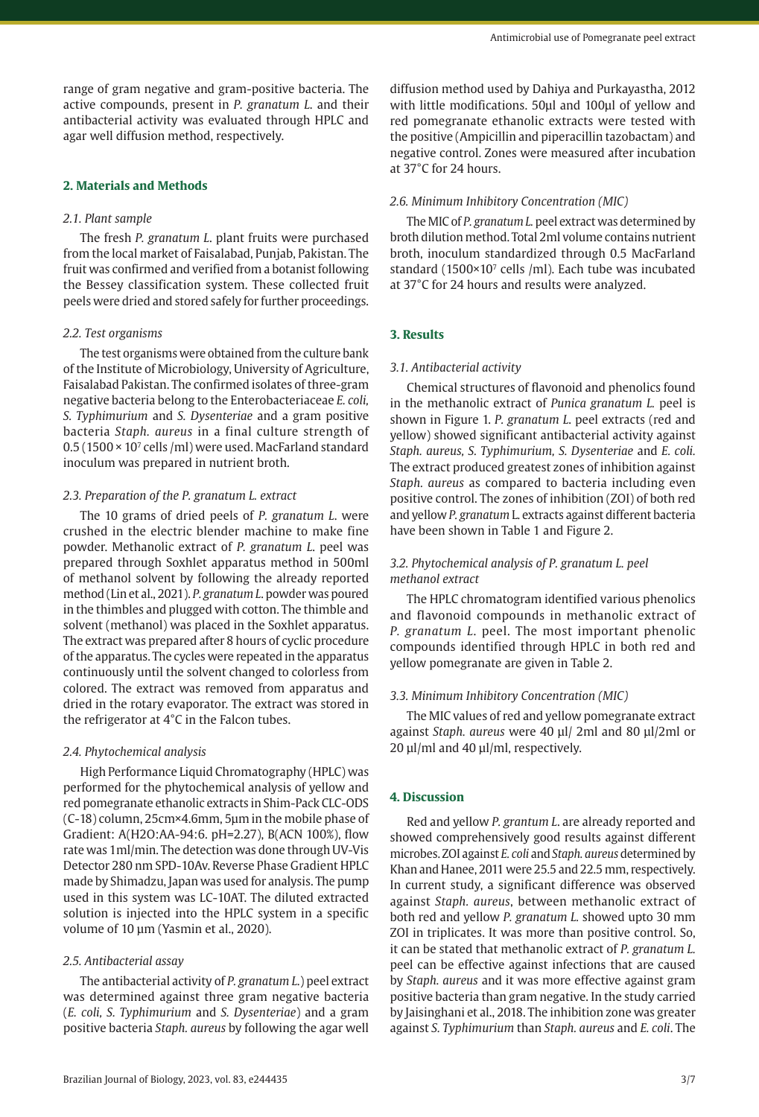## **2. Materials and Methods**

#### *2.1. Plant sample*

The fresh *P. granatum L*. plant fruits were purchased from the local market of Faisalabad, Punjab, Pakistan. The fruit was confirmed and verified from a botanist following the Bessey classification system. These collected fruit peels were dried and stored safely for further proceedings.

#### *2.2. Test organisms*

The test organisms were obtained from the culture bank of the Institute of Microbiology, University of Agriculture, Faisalabad Pakistan. The confirmed isolates of three-gram negative bacteria belong to the Enterobacteriaceae *E. coli, S. Typhimurium* and *S. Dysenteriae* and a gram positive bacteria *Staph. aureus* in a final culture strength of 0.5 (1500 × 107 cells /ml) were used. MacFarland standard inoculum was prepared in nutrient broth.

#### *2.3. Preparation of the P. granatum L. extract*

The 10 grams of dried peels of *P. granatum L*. were crushed in the electric blender machine to make fine powder. Methanolic extract of *P. granatum L*. peel was prepared through Soxhlet apparatus method in 500ml of methanol solvent by following the already reported method (Lin et al., 2021). *P. granatum L*. powder was poured in the thimbles and plugged with cotton. The thimble and solvent (methanol) was placed in the Soxhlet apparatus. The extract was prepared after 8 hours of cyclic procedure of the apparatus. The cycles were repeated in the apparatus continuously until the solvent changed to colorless from colored. The extract was removed from apparatus and dried in the rotary evaporator. The extract was stored in the refrigerator at 4°C in the Falcon tubes.

## *2.4. Phytochemical analysis*

High Performance Liquid Chromatography (HPLC) was performed for the phytochemical analysis of yellow and red pomegranate ethanolic extracts in Shim-Pack CLC-ODS (C-18) column, 25cm×4.6mm, 5µm in the mobile phase of Gradient: A(H2O:AA-94:6. pH=2.27), B(ACN 100%), flow rate was 1ml/min. The detection was done through UV-Vis Detector 280 nm SPD-10Av. Reverse Phase Gradient HPLC made by Shimadzu, Japan was used for analysis. The pump used in this system was LC-10AT. The diluted extracted solution is injected into the HPLC system in a specific volume of 10 µm (Yasmin et al., 2020).

#### *2.5. Antibacterial assay*

The antibacterial activity of *P. granatum L*.) peel extract was determined against three gram negative bacteria (*E. coli, S. Typhimurium* and *S. Dysenteriae*) and a gram positive bacteria *Staph. aureus* by following the agar well

diffusion method used by Dahiya and Purkayastha, 2012 with little modifications. 50µl and 100µl of yellow and red pomegranate ethanolic extracts were tested with the positive (Ampicillin and piperacillin tazobactam) and negative control. Zones were measured after incubation at 37°C for 24 hours.

## *2.6. Minimum Inhibitory Concentration (MIC)*

The MIC of *P. granatum L.* peel extract was determined by broth dilution method. Total 2ml volume contains nutrient broth, inoculum standardized through 0.5 MacFarland standard (1500×107 cells /ml). Each tube was incubated at 37°C for 24 hours and results were analyzed.

## **3. Results**

#### *3.1. Antibacterial activity*

Chemical structures of flavonoid and phenolics found in the methanolic extract of *Punica granatum L.* peel is shown in Figure 1. *P. granatum L*. peel extracts (red and yellow) showed significant antibacterial activity against *Staph. aureus, S. Typhimurium, S. Dysenteriae* and *E. coli.* The extract produced greatest zones of inhibition against *Staph. aureus* as compared to bacteria including even positive control. The zones of inhibition (ZOI) of both red and yellow *P. granatum* L. extracts against different bacteria have been shown in Table 1 and Figure 2.

# *3.2. Phytochemical analysis of P. granatum L. peel methanol extract*

The HPLC chromatogram identified various phenolics and flavonoid compounds in methanolic extract of *P. granatum L*. peel. The most important phenolic compounds identified through HPLC in both red and yellow pomegranate are given in Table 2.

## *3.3. Minimum Inhibitory Concentration (MIC)*

The MIC values of red and yellow pomegranate extract against *Staph. aureus* were 40 µl/ 2ml and 80 µl/2ml or 20 µl/ml and 40 µl/ml, respectively.

## **4. Discussion**

Red and yellow *P. grantum L*. are already reported and showed comprehensively good results against different microbes. ZOI against *E. coli* and *Staph. aureus* determined by Khan and Hanee, 2011 were 25.5 and 22.5 mm, respectively. In current study, a significant difference was observed against *Staph. aureus*, between methanolic extract of both red and yellow *P. granatum L.* showed upto 30 mm ZOI in triplicates. It was more than positive control. So, it can be stated that methanolic extract of *P. granatum L.* peel can be effective against infections that are caused by *Staph. aureus* and it was more effective against gram positive bacteria than gram negative. In the study carried by Jaisinghani et al., 2018. The inhibition zone was greater against *S. Typhimurium* than *Staph. aureus* and *E. coli*. The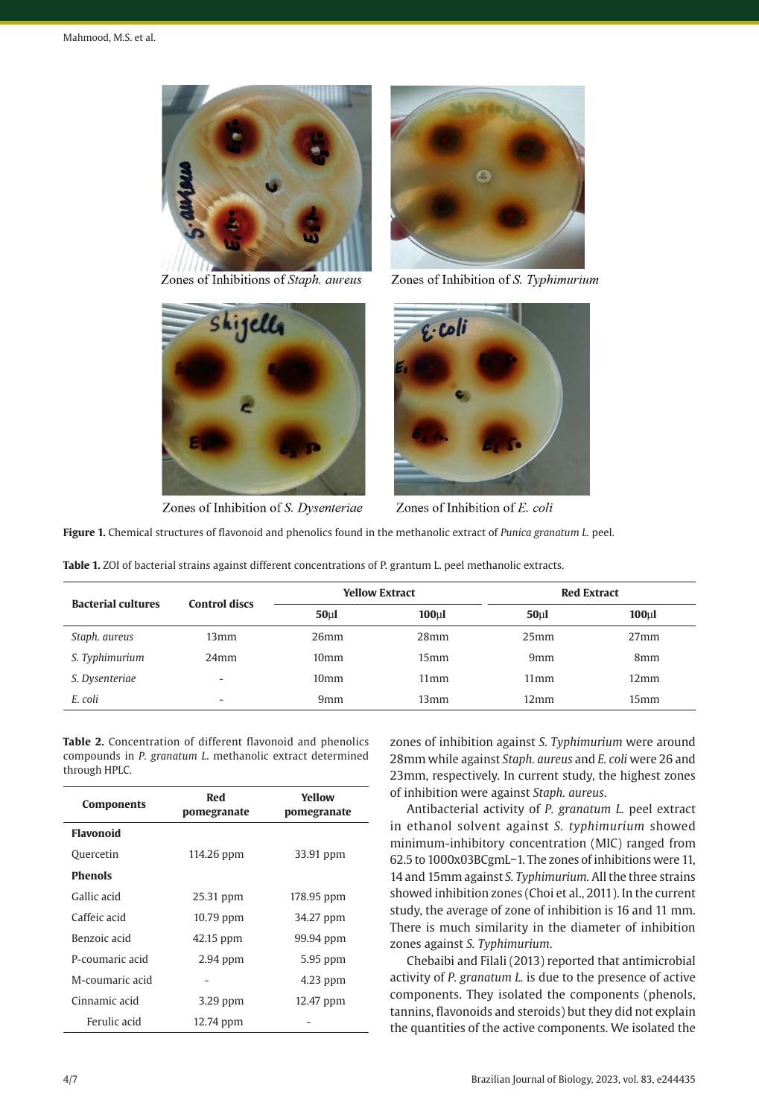

Zones of Inhibitions of Staph. aureus



Zones of Inhibition of S. Typhimurium



Zones of Inhibition of S. Dysenteriae



Zones of Inhibition of E. coli

**Figure 1.** Chemical structures of flavonoid and phenolics found in the methanolic extract of *Punica granatum L.* peel.

| <b>Bacterial cultures</b> | <b>Control discs</b> | <b>Yellow Extract</b> |                     | <b>Red Extract</b> |                     |
|---------------------------|----------------------|-----------------------|---------------------|--------------------|---------------------|
|                           |                      | 50 <sub>µ</sub>       | $100$ <sub>kl</sub> | 50 <sub>µ</sub>    | $100$ <sub>kl</sub> |
| Staph, aureus             | 13 <sub>mm</sub>     | 26 <sub>mm</sub>      | 28 <sub>mm</sub>    | 25 <sub>mm</sub>   | 27 <sub>mm</sub>    |
| S. Typhimurium            | 24 <sub>mm</sub>     | 10 <sub>mm</sub>      | 15mm                | 9 <sub>mm</sub>    | 8 <sub>mm</sub>     |
| S. Dysenteriae            | -                    | 10 <sub>mm</sub>      | 11 <sub>mm</sub>    | $11 \,\mathrm{mm}$ | $12 \text{mm}$      |
| E. coli                   | ۰                    | 9 <sub>mm</sub>       | 13mm                | $12 \text{mm}$     | 15 <sub>mm</sub>    |

**Table 2.** Concentration of different flavonoid and phenolics compounds in *P. granatum L*. methanolic extract determined through HPLC.

| <b>Components</b> | Red<br>pomegranate | Yellow<br>pomegranate |  |  |
|-------------------|--------------------|-----------------------|--|--|
| <b>Flavonoid</b>  |                    |                       |  |  |
| Quercetin         | 114.26 ppm         | 33.91 ppm             |  |  |
| <b>Phenols</b>    |                    |                       |  |  |
| Gallic acid       | 25.31 ppm          | 178.95 ppm            |  |  |
| Caffeic acid      | 10.79 ppm          | 34.27 ppm             |  |  |
| Benzoic acid      | 42.15 ppm          | 99.94 ppm             |  |  |
| P-coumaric acid   | $2.94$ ppm         | 5.95 ppm              |  |  |
| M-coumaric acid   |                    | 4.23 ppm              |  |  |
| Cinnamic acid     | 3.29 ppm           | 12.47 ppm             |  |  |
| Ferulic acid      | 12.74 ppm          |                       |  |  |

zones of inhibition against *S. Typhimurium* were around 28mm while against *Staph. aureus* and *E. coli* were 26 and 23mm, respectively. In current study, the highest zones of inhibition were against *Staph. aureus*.

Antibacterial activity of *P. granatum L.* peel extract in ethanol solvent against *S. typhimurium* showed minimum-inhibitory concentration (MIC) ranged from 62.5 to 1000x03BCgmL−1. The zones of inhibitions were 11, 14 and 15mm against *S. Typhimurium.* All the three strains showed inhibition zones (Choi et al., 2011). In the current study, the average of zone of inhibition is 16 and 11 mm. There is much similarity in the diameter of inhibition zones against *S. Typhimurium*.

Chebaibi and Filali (2013) reported that antimicrobial activity of *P. granatum L.* is due to the presence of active components. They isolated the components (phenols, tannins, flavonoids and steroids) but they did not explain the quantities of the active components. We isolated the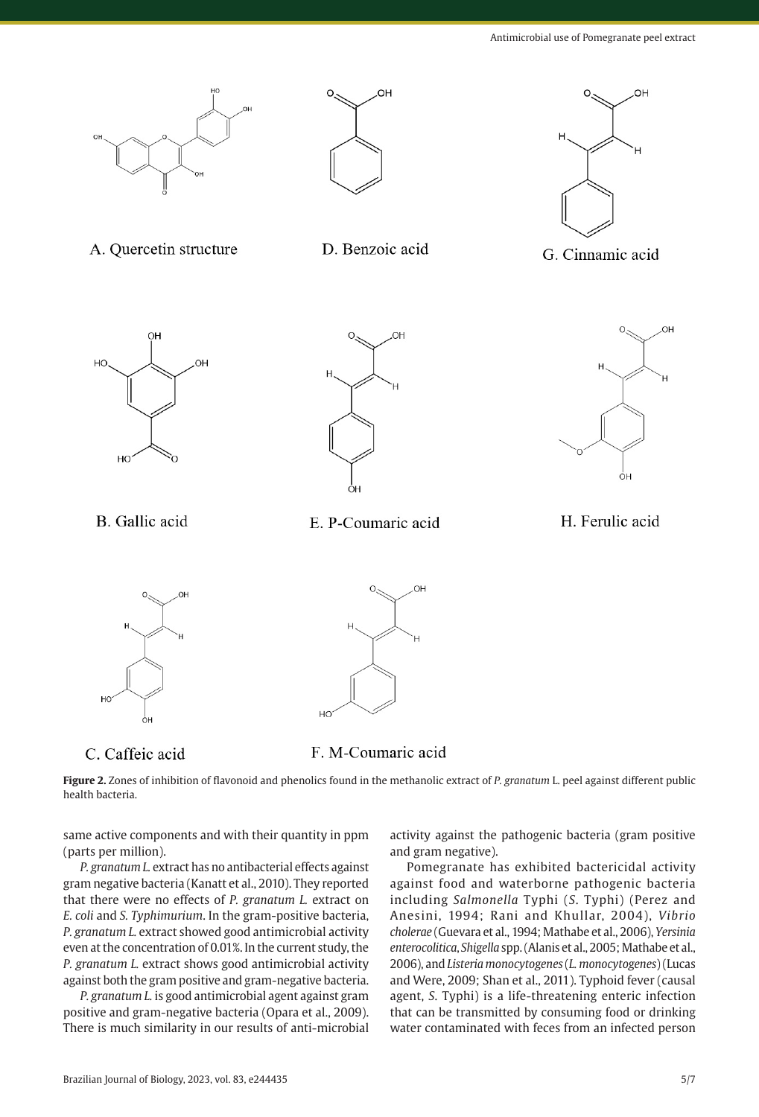





D. Benzoic acid



G. Cinnamic acid



B. Gallic acid





E. P-Coumaric acid

H. Ferulic acid



C. Caffeic acid



F. M-Coumaric acid

 $H$ 

**Figure 2.** Zones of inhibition of flavonoid and phenolics found in the methanolic extract of *P. granatum* L. peel against different public health bacteria.

same active components and with their quantity in ppm (parts per million).

*P. granatum L.* extract has no antibacterial effects against gram negative bacteria (Kanatt et al., 2010). They reported that there were no effects of *P. granatum L.* extract on *E. coli* and *S. Typhimurium*. In the gram-positive bacteria, *P. granatum L.* extract showed good antimicrobial activity even at the concentration of 0.01%. In the current study, the *P. granatum L.* extract shows good antimicrobial activity against both the gram positive and gram-negative bacteria.

*P. granatum L.* is good antimicrobial agent against gram positive and gram-negative bacteria (Opara et al., 2009). There is much similarity in our results of anti-microbial activity against the pathogenic bacteria (gram positive and gram negative).

Pomegranate has exhibited bactericidal activity against food and waterborne pathogenic bacteria including *Salmonella* Typhi (*S*. Typhi) (Perez and Anesini, 1994; Rani and Khullar, 2004), *Vibrio cholerae* (Guevara et al., 1994; Mathabe et al., 2006), *Yersinia enterocolitica*, *Shigella* spp. (Alanis et al., 2005; Mathabe et al., 2006), and *Listeria monocytogenes* (*L. monocytogenes*) (Lucas and Were, 2009; Shan et al., 2011). Typhoid fever (causal agent, *S*. Typhi) is a life-threatening enteric infection that can be transmitted by consuming food or drinking water contaminated with feces from an infected person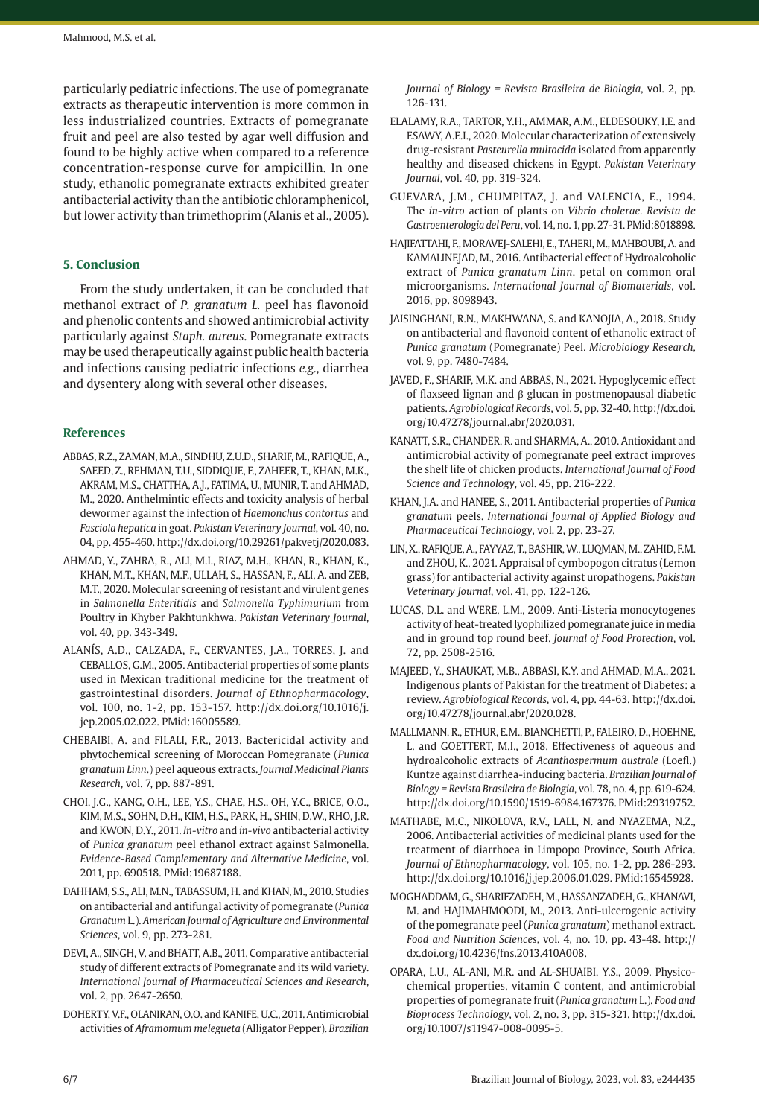particularly pediatric infections. The use of pomegranate extracts as therapeutic intervention is more common in less industrialized countries. Extracts of pomegranate fruit and peel are also tested by agar well diffusion and found to be highly active when compared to a reference concentration-response curve for ampicillin. In one study, ethanolic pomegranate extracts exhibited greater antibacterial activity than the antibiotic chloramphenicol, but lower activity than trimethoprim (Alanis et al., 2005).

# **5. Conclusion**

From the study undertaken, it can be concluded that methanol extract of *P. granatum L.* peel has flavonoid and phenolic contents and showed antimicrobial activity particularly against *Staph. aureus*. Pomegranate extracts may be used therapeutically against public health bacteria and infections causing pediatric infections *e.g.*, diarrhea and dysentery along with several other diseases.

## **References**

- ABBAS, R.Z., ZAMAN, M.A., SINDHU, Z.U.D., SHARIF, M., RAFIQUE, A., SAEED, Z., REHMAN, T.U., SIDDIQUE, F., ZAHEER, T., KHAN, M.K., AKRAM, M.S., CHATTHA, A.J., FATIMA, U., MUNIR, T. and AHMAD, M., 2020. Anthelmintic effects and toxicity analysis of herbal dewormer against the infection of *Haemonchus contortus* and *Fasciola hepatica* in goat. *Pakistan Veterinary Journal*, vol. 40, no. 04, pp. 455-460. [http://dx.doi.org/10.29261/pakvetj/2020.083](https://doi.org/10.29261/pakvetj/2020.083).
- AHMAD, Y., ZAHRA, R., ALI, M.I., RIAZ, M.H., KHAN, R., KHAN, K., KHAN, M.T., KHAN, M.F., ULLAH, S., HASSAN, F., ALI, A. and ZEB, M.T., 2020. Molecular screening of resistant and virulent genes in *Salmonella Enteritidis* and *Salmonella Typhimurium* from Poultry in Khyber Pakhtunkhwa. *Pakistan Veterinary Journal*, vol. 40, pp. 343-349.
- ALANÍS, A.D., CALZADA, F., CERVANTES, J.A., TORRES, J. and CEBALLOS, G.M., 2005. Antibacterial properties of some plants used in Mexican traditional medicine for the treatment of gastrointestinal disorders. *Journal of Ethnopharmacology*, vol. 100, no. 1-2, pp. 153-157. [http://dx.doi.org/10.1016/j.](https://doi.org/10.1016/j.jep.2005.02.022) [jep.2005.02.022](https://doi.org/10.1016/j.jep.2005.02.022)[. PMid:16005589.](https://www.ncbi.nlm.nih.gov/entrez/query.fcgi?cmd=Retrieve&db=PubMed&list_uids=16005589&dopt=Abstract)
- CHEBAIBI, A. and FILALI, F.R., 2013. Bactericidal activity and phytochemical screening of Moroccan Pomegranate (*Punica granatum Linn*.) peel aqueous extracts. *Journal Medicinal Plants Research*, vol. 7, pp. 887-891.
- CHOI, J.G., KANG, O.H., LEE, Y.S., CHAE, H.S., OH, Y.C., BRICE, O.O., KIM, M.S., SOHN, D.H., KIM, H.S., PARK, H., SHIN, D.W., RHO, J.R. and KWON, D.Y., 2011. *In-vitro* and *in-vivo* antibacterial activity of *Punica granatum p*eel ethanol extract against Salmonella. *Evidence-Based Complementary and Alternative Medicine*, vol. 2011, pp. 690518. [PMid:19687188.](https://www.ncbi.nlm.nih.gov/entrez/query.fcgi?cmd=Retrieve&db=PubMed&list_uids=19687188&dopt=Abstract)
- DAHHAM, S.S., ALI, M.N., TABASSUM, H. and KHAN, M., 2010. Studies on antibacterial and antifungal activity of pomegranate (*Punica Granatum* L.). *American Journal of Agriculture and Environmental Sciences*, vol. 9, pp. 273-281.
- DEVI, A., SINGH, V. and BHATT, A.B., 2011. Comparative antibacterial study of different extracts of Pomegranate and its wild variety. *International Journal of Pharmaceutical Sciences and Research*, vol. 2, pp. 2647-2650.
- DOHERTY, V.F., OLANIRAN, O.O. and KANIFE, U.C., 2011. Antimicrobial activities of *Aframomum melegueta* (Alligator Pepper). *Brazilian*

*Journal of Biology = Revista Brasileira de Biologia*, vol. 2, pp. 126-131.

- ELALAMY, R.A., TARTOR, Y.H., AMMAR, A.M., ELDESOUKY, I.E. and ESAWY, A.E.I., 2020. Molecular characterization of extensively drug-resistant *Pasteurella multocida* isolated from apparently healthy and diseased chickens in Egypt. *Pakistan Veterinary Journal*, vol. 40, pp. 319-324.
- GUEVARA, J.M., CHUMPITAZ, J. and VALENCIA, E., 1994. The *in-vitro* action of plants on *Vibrio cholerae. Revista de Gastroenterologia del Peru*, vol. 14, no. 1, pp. 27-31[. PMid:8018898.](https://www.ncbi.nlm.nih.gov/entrez/query.fcgi?cmd=Retrieve&db=PubMed&list_uids=8018898&dopt=Abstract)
- HAJIFATTAHI, F., MORAVEJ-SALEHI, E., TAHERI, M., MAHBOUBI, A. and KAMALINEJAD, M., 2016. Antibacterial effect of Hydroalcoholic extract of *Punica granatum Linn*. petal on common oral microorganisms. *International Journal of Biomaterials*, vol. 2016, pp. 8098943.
- JAISINGHANI, R.N., MAKHWANA, S. and KANOJIA, A., 2018. Study on antibacterial and flavonoid content of ethanolic extract of *Punica granatum* (Pomegranate) Peel. *Microbiology Research*, vol. 9, pp. 7480-7484.
- JAVED, F., SHARIF, M.K. and ABBAS, N., 2021. Hypoglycemic effect of flaxseed lignan and β glucan in postmenopausal diabetic patients. *Agrobiological Records*, vol. 5, pp. 32-40. [http://dx.doi.](https://doi.org/10.47278/journal.abr/2020.031) [org/10.47278/journal.abr/2020.031.](https://doi.org/10.47278/journal.abr/2020.031)
- KANATT, S.R., CHANDER, R. and SHARMA, A., 2010. Antioxidant and antimicrobial activity of pomegranate peel extract improves the shelf life of chicken products. *International Journal of Food Science and Technology*, vol. 45, pp. 216-222.
- KHAN, J.A. and HANEE, S., 2011. Antibacterial properties of *Punica granatum* peels. *International Journal of Applied Biology and Pharmaceutical Technology*, vol. 2, pp. 23-27.
- LIN, X., RAFIQUE, A., FAYYAZ, T., BASHIR, W., LUQMAN, M., ZAHID, F.M. and ZHOU, K., 2021. Appraisal of cymbopogon citratus (Lemon grass) for antibacterial activity against uropathogens. *Pakistan Veterinary Journal*, vol. 41, pp. 122-126.
- LUCAS, D.L. and WERE, L.M., 2009. Anti-Listeria monocytogenes activity of heat-treated lyophilized pomegranate juice in media and in ground top round beef. *Journal of Food Protection*, vol. 72, pp. 2508-2516.
- MAJEED, Y., SHAUKAT, M.B., ABBASI, K.Y. and AHMAD, M.A., 2021. Indigenous plants of Pakistan for the treatment of Diabetes: a review. *Agrobiological Records*, vol. 4, pp. 44-63. [http://dx.doi.](https://doi.org/10.47278/journal.abr/2020.028) [org/10.47278/journal.abr/2020.028.](https://doi.org/10.47278/journal.abr/2020.028)
- MALLMANN, R., ETHUR, E.M., BIANCHETTI, P., FALEIRO, D., HOEHNE, L. and GOETTERT, M.I., 2018. Effectiveness of aqueous and hydroalcoholic extracts of *Acanthospermum australe* (Loefl.) Kuntze against diarrhea-inducing bacteria. *Brazilian Journal of Biology = Revista Brasileira de Biologia*, vol. 78, no. 4, pp. 619-624. [http://dx.doi.org/10.1590/1519-6984.167376.](https://doi.org/10.1590/1519-6984.167376) [PMid:29319752.](https://www.ncbi.nlm.nih.gov/entrez/query.fcgi?cmd=Retrieve&db=PubMed&list_uids=29319752&dopt=Abstract)
- MATHABE, M.C., NIKOLOVA, R.V., LALL, N. and NYAZEMA, N.Z., 2006. Antibacterial activities of medicinal plants used for the treatment of diarrhoea in Limpopo Province, South Africa. *Journal of Ethnopharmacology*, vol. 105, no. 1-2, pp. 286-293. [http://dx.doi.org/10.1016/j.jep.2006.01.029](https://doi.org/10.1016/j.jep.2006.01.029). [PMid:16545928.](https://www.ncbi.nlm.nih.gov/entrez/query.fcgi?cmd=Retrieve&db=PubMed&list_uids=16545928&dopt=Abstract)
- MOGHADDAM, G., SHARIFZADEH, M., HASSANZADEH, G., KHANAVI, M. and HAJIMAHMOODI, M., 2013. Anti-ulcerogenic activity of the pomegranate peel (*Punica granatum*) methanol extract. *Food and Nutrition Sciences*, vol. 4, no. 10, pp. 43-48. [http://](https://doi.org/10.4236/fns.2013.410A008) [dx.doi.org/10.4236/fns.2013.410A008.](https://doi.org/10.4236/fns.2013.410A008)
- OPARA, L.U., AL-ANI, M.R. and AL-SHUAIBI, Y.S., 2009. Physicochemical properties, vitamin C content, and antimicrobial properties of pomegranate fruit (*Punica granatum* L.). *Food and Bioprocess Technology*, vol. 2, no. 3, pp. 315-321. [http://dx.doi.](https://doi.org/10.1007/s11947-008-0095-5) [org/10.1007/s11947-008-0095-5.](https://doi.org/10.1007/s11947-008-0095-5)